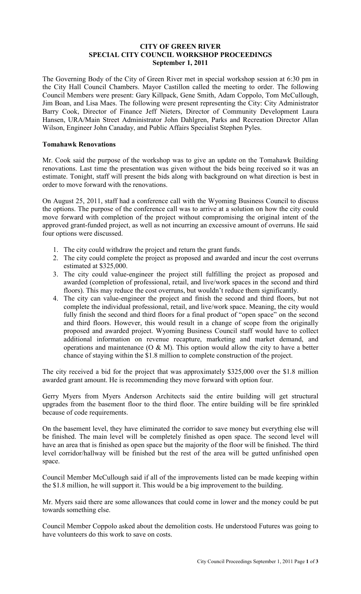## **CITY OF GREEN RIVER SPECIAL CITY COUNCIL WORKSHOP PROCEEDINGS September 1, 2011**

The Governing Body of the City of Green River met in special workshop session at 6:30 pm in the City Hall Council Chambers. Mayor Castillon called the meeting to order. The following Council Members were present: Gary Killpack, Gene Smith, Adam Coppolo, Tom McCullough, Jim Boan, and Lisa Maes. The following were present representing the City: City Administrator Barry Cook, Director of Finance Jeff Nieters, Director of Community Development Laura Hansen, URA/Main Street Administrator John Dahlgren, Parks and Recreation Director Allan Wilson, Engineer John Canaday, and Public Affairs Specialist Stephen Pyles.

## **Tomahawk Renovations**

Mr. Cook said the purpose of the workshop was to give an update on the Tomahawk Building renovations. Last time the presentation was given without the bids being received so it was an estimate. Tonight, staff will present the bids along with background on what direction is best in order to move forward with the renovations.

On August 25, 2011, staff had a conference call with the Wyoming Business Council to discuss the options. The purpose of the conference call was to arrive at a solution on how the city could move forward with completion of the project without compromising the original intent of the approved grant-funded project, as well as not incurring an excessive amount of overruns. He said four options were discussed.

- 1. The city could withdraw the project and return the grant funds.
- 2. The city could complete the project as proposed and awarded and incur the cost overruns estimated at \$325,000.
- 3. The city could value-engineer the project still fulfilling the project as proposed and awarded (completion of professional, retail, and live/work spaces in the second and third floors). This may reduce the cost overruns, but wouldn't reduce them significantly.
- 4. The city can value-engineer the project and finish the second and third floors, but not complete the individual professional, retail, and live/work space. Meaning, the city would fully finish the second and third floors for a final product of "open space" on the second and third floors. However, this would result in a change of scope from the originally proposed and awarded project. Wyoming Business Council staff would have to collect additional information on revenue recapture, marketing and market demand, and operations and maintenance  $(O & M)$ . This option would allow the city to have a better chance of staying within the \$1.8 million to complete construction of the project.

The city received a bid for the project that was approximately \$325,000 over the \$1.8 million awarded grant amount. He is recommending they move forward with option four.

Gerry Myers from Myers Anderson Architects said the entire building will get structural upgrades from the basement floor to the third floor. The entire building will be fire sprinkled because of code requirements.

On the basement level, they have eliminated the corridor to save money but everything else will be finished. The main level will be completely finished as open space. The second level will have an area that is finished as open space but the majority of the floor will be finished. The third level corridor/hallway will be finished but the rest of the area will be gutted unfinished open space.

Council Member McCullough said if all of the improvements listed can be made keeping within the \$1.8 million, he will support it. This would be a big improvement to the building.

Mr. Myers said there are some allowances that could come in lower and the money could be put towards something else.

Council Member Coppolo asked about the demolition costs. He understood Futures was going to have volunteers do this work to save on costs.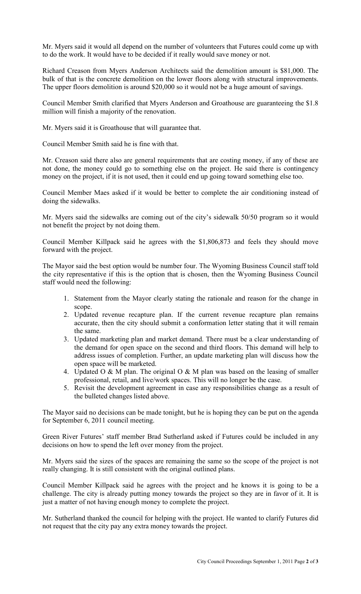Mr. Myers said it would all depend on the number of volunteers that Futures could come up with to do the work. It would have to be decided if it really would save money or not.

Richard Creason from Myers Anderson Architects said the demolition amount is \$81,000. The bulk of that is the concrete demolition on the lower floors along with structural improvements. The upper floors demolition is around \$20,000 so it would not be a huge amount of savings.

Council Member Smith clarified that Myers Anderson and Groathouse are guaranteeing the \$1.8 million will finish a majority of the renovation.

Mr. Myers said it is Groathouse that will guarantee that.

Council Member Smith said he is fine with that.

Mr. Creason said there also are general requirements that are costing money, if any of these are not done, the money could go to something else on the project. He said there is contingency money on the project, if it is not used, then it could end up going toward something else too.

Council Member Maes asked if it would be better to complete the air conditioning instead of doing the sidewalks.

Mr. Myers said the sidewalks are coming out of the city's sidewalk 50/50 program so it would not benefit the project by not doing them.

Council Member Killpack said he agrees with the \$1,806,873 and feels they should move forward with the project.

The Mayor said the best option would be number four. The Wyoming Business Council staff told the city representative if this is the option that is chosen, then the Wyoming Business Council staff would need the following:

- 1. Statement from the Mayor clearly stating the rationale and reason for the change in scope.
- 2. Updated revenue recapture plan. If the current revenue recapture plan remains accurate, then the city should submit a conformation letter stating that it will remain the same.
- 3. Updated marketing plan and market demand. There must be a clear understanding of the demand for open space on the second and third floors. This demand will help to address issues of completion. Further, an update marketing plan will discuss how the open space will be marketed.
- 4. Updated O & M plan. The original O & M plan was based on the leasing of smaller professional, retail, and live/work spaces. This will no longer be the case.
- 5. Revisit the development agreement in case any responsibilities change as a result of the bulleted changes listed above.

The Mayor said no decisions can be made tonight, but he is hoping they can be put on the agenda for September 6, 2011 council meeting.

Green River Futures' staff member Brad Sutherland asked if Futures could be included in any decisions on how to spend the left over money from the project.

Mr. Myers said the sizes of the spaces are remaining the same so the scope of the project is not really changing. It is still consistent with the original outlined plans.

Council Member Killpack said he agrees with the project and he knows it is going to be a challenge. The city is already putting money towards the project so they are in favor of it. It is just a matter of not having enough money to complete the project.

Mr. Sutherland thanked the council for helping with the project. He wanted to clarify Futures did not request that the city pay any extra money towards the project.